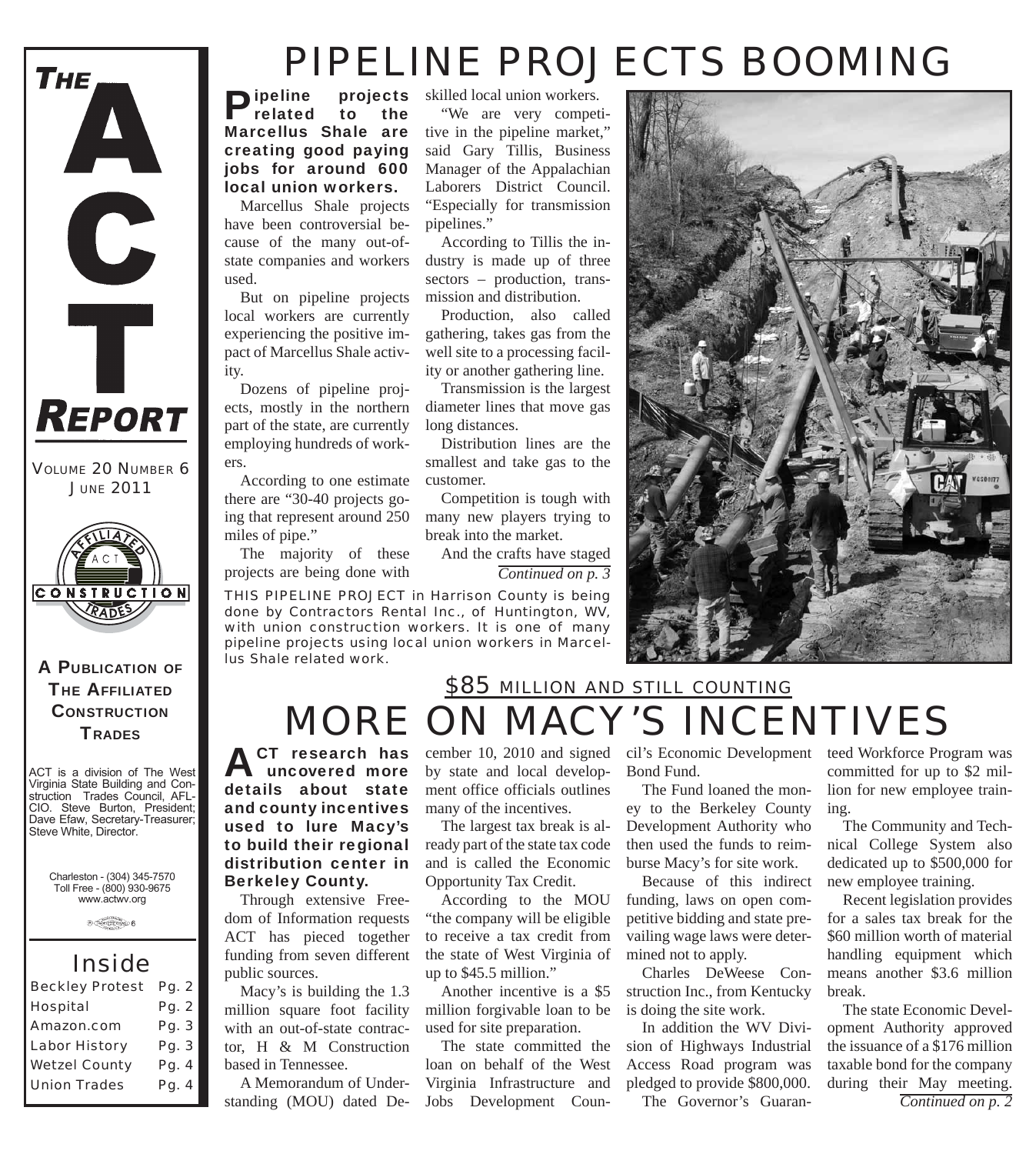

*VOLUME 20 NUMBER 6 JUNE 2011*



A PUBLICATION OF **THE AFFILIATED CONSTRUCTION TRADES** 

ACT is a division of The West Virginia State Building and Construction Trades Council, AFL-CIO. Steve Burton, President; Dave Efaw, Secretary-Treasurer; Steve White, Director.

Charleston - (304) 345-7570 Toll Free - (800) 930-9675 www.actwv.org

 $\theta \xrightarrow{\text{Cov}(1,1)} \theta$ 

#### *Inside*

| <b>Beckley Protest</b> | Pg. 2 |
|------------------------|-------|
| <b>Hospital</b>        | Pg. 2 |
| Amazon.com             | Pg. 3 |
| <b>Labor History</b>   | Pg. 3 |
| <b>Wetzel County</b>   | Pg. 4 |
| <b>Union Trades</b>    | Pg. 4 |

## *PIPELINE PROJECTS BOOMING*

**Pipeline** projects<br>
related to the Marcellus Shale are creating good paying jobs for around 600 local union workers.

Marcellus Shale projects have been controversial because of the many out-ofstate companies and workers used.

But on pipeline projects local workers are currently experiencing the positive impact of Marcellus Shale activity.

Dozens of pipeline projects, mostly in the northern part of the state, are currently employing hundreds of workers.

According to one estimate there are "30-40 projects going that represent around 250 miles of pipe."

The majority of these projects are being done with

ACT research has<br>
uncovered more details about state and county incentives used to lure Macy's to build their regional distribution center in

Berkeley County.

public sources.

based in Tennessee.

Through extensive Freedom of Information requests ACT has pieced together funding from seven different

Macy's is building the 1.3 million square foot facility with an out-of-state contractor, H & M Construction

A Memorandum of Understanding (MOU) dated De-

*THIS PIPELINE PROJECT in Harrison County is being done by Contractors Rental Inc., of Huntington, WV, with union construction workers. It is one of many pipeline projects using local union workers in Marcellus Shale related work.*

**projects** skilled local union workers. "We are very competitive in the pipeline market," said Gary Tillis, Business Manager of the Appalachian Laborers District Council. "Especially for transmission pipelines."

> According to Tillis the industry is made up of three sectors – production, transmission and distribution.

> Production, also called gathering, takes gas from the well site to a processing facil-

break into the market.

cember 10, 2010 and signed by state and local development office officials outlines

The largest tax break is already part of the state tax code and is called the Economic Opportunity Tax Credit.

According to the MOU "the company will be eligible to receive a tax credit from the state of West Virginia of

Another incentive is a \$5 million forgivable loan to be used for site preparation.

The state committed the loan on behalf of the West Virginia Infrastructure and Jobs Development Coun-

many of the incentives.

up to \$45.5 million."

*Continued on p. 3*

cil's Economic Development teed Workforce Program was Bond Fund.

*MORE ON MACY'S INCENTIVES*

*\$85 MILLION AND STILL COUNTING*

The Fund loaned the money to the Berkeley County Development Authority who then used the funds to reimburse Macy's for site work.

Because of this indirect funding, laws on open competitive bidding and state prevailing wage laws were determined not to apply.

Charles DeWeese Construction Inc., from Kentucky is doing the site work.

In addition the WV Division of Highways Industrial Access Road program was pledged to provide \$800,000. The Governor's Guaran-

committed for up to \$2 million for new employee training.

The Community and Technical College System also dedicated up to \$500,000 for new employee training.

Recent legislation provides for a sales tax break for the \$60 million worth of material handling equipment which means another \$3.6 million break.

The state Economic Development Authority approved the issuance of a \$176 million taxable bond for the company during their May meeting. *Continued on p. 2*

ity or another gathering line. Transmission is the largest diameter lines that move gas long distances. Distribution lines are the smallest and take gas to the customer. Competition is tough with many new players trying to

And the crafts have staged

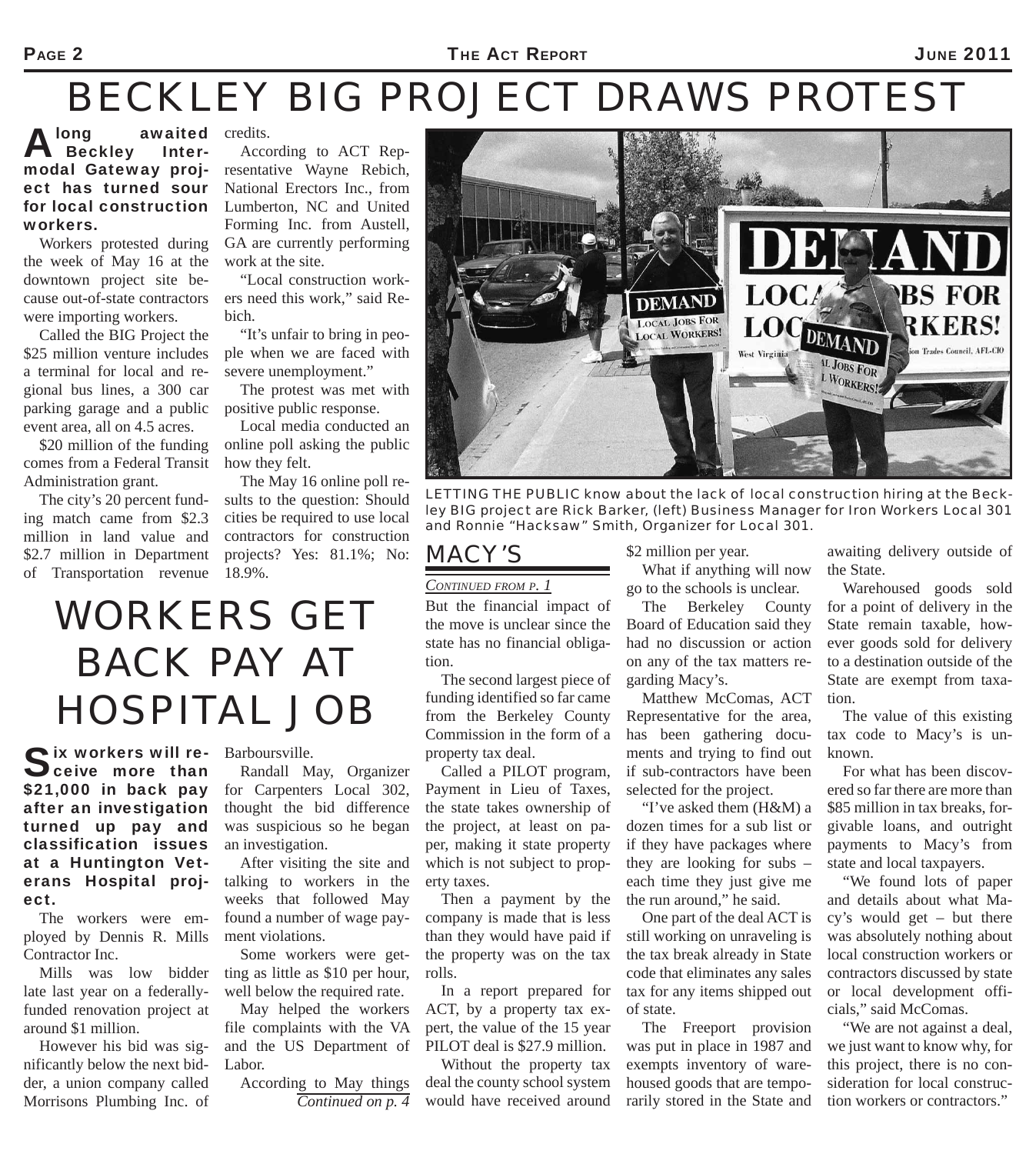# *BECKLEY BIG PROJECT DRAWS PROTEST*

A long awaited<br>
Beckley Intermodal Gateway project has turned sour for local construction workers.

Workers protested during the week of May 16 at the downtown project site because out-of-state contractors were importing workers.

Called the BIG Project the \$25 million venture includes a terminal for local and regional bus lines, a 300 car parking garage and a public event area, all on 4.5 acres.

\$20 million of the funding comes from a Federal Transit Administration grant.

The city's 20 percent funding match came from \$2.3 million in land value and \$2.7 million in Department of Transportation revenue

credits.

According to ACT Representative Wayne Rebich, National Erectors Inc., from Lumberton, NC and United Forming Inc. from Austell, GA are currently performing work at the site.

"Local construction workers need this work," said Rebich.

"It's unfair to bring in people when we are faced with severe unemployment."

The protest was met with positive public response.

Local media conducted an online poll asking the public how they felt.

The May 16 online poll results to the question: Should cities be required to use local contractors for construction projects? Yes: 81.1%; No: 18.9%.

## *WORKERS GET BACK PAY AT HOSPITAL JOB*

Six workers will re-<br>Sceive more than \$21,000 in back pay after an investigation turned up pay and classification issues at a Huntington Veterans Hospital project.

The workers were employed by Dennis R. Mills Contractor Inc.

Mills was low bidder late last year on a federallyfunded renovation project at around \$1 million.

However his bid was significantly below the next bidder, a union company called Morrisons Plumbing Inc. of Barboursville.

Randall May, Organizer for Carpenters Local 302, thought the bid difference was suspicious so he began an investigation.

After visiting the site and talking to workers in the weeks that followed May found a number of wage payment violations.

Some workers were getting as little as \$10 per hour, well below the required rate.

May helped the workers file complaints with the VA and the US Department of Labor.

According to May things *Continued on p. 4*



*LETTING THE PUBLIC know about the lack of local construction hiring at the Beckley BIG project are Rick Barker, (left) Business Manager for Iron Workers Local 301 and Ronnie "Hacksaw" Smith, Organizer for Local 301.*

#### *MACY'S*

#### *CONTINUED FROM P. 1*

But the financial impact of the move is unclear since the state has no financial obligation.

The second largest piece of funding identified so far came from the Berkeley County Commission in the form of a property tax deal.

Called a PILOT program, Payment in Lieu of Taxes, the state takes ownership of the project, at least on paper, making it state property which is not subject to property taxes.

Then a payment by the company is made that is less than they would have paid if the property was on the tax rolls.

In a report prepared for ACT, by a property tax expert, the value of the 15 year PILOT deal is \$27.9 million.

Without the property tax deal the county school system would have received around \$2 million per year.

What if anything will now go to the schools is unclear.

The Berkeley County Board of Education said they had no discussion or action on any of the tax matters regarding Macy's.

Matthew McComas, ACT Representative for the area, has been gathering documents and trying to find out if sub-contractors have been selected for the project.

"I've asked them (H&M) a dozen times for a sub list or if they have packages where they are looking for subs – each time they just give me the run around," he said.

One part of the deal ACT is still working on unraveling is the tax break already in State code that eliminates any sales tax for any items shipped out of state.

The Freeport provision was put in place in 1987 and exempts inventory of warehoused goods that are temporarily stored in the State and

awaiting delivery outside of the State.

Warehoused goods sold for a point of delivery in the State remain taxable, however goods sold for delivery to a destination outside of the State are exempt from taxation.

The value of this existing tax code to Macy's is unknown.

For what has been discovered so far there are more than \$85 million in tax breaks, forgivable loans, and outright payments to Macy's from state and local taxpayers.

"We found lots of paper and details about what Macy's would get – but there was absolutely nothing about local construction workers or contractors discussed by state or local development officials," said McComas.

"We are not against a deal, we just want to know why, for this project, there is no consideration for local construction workers or contractors."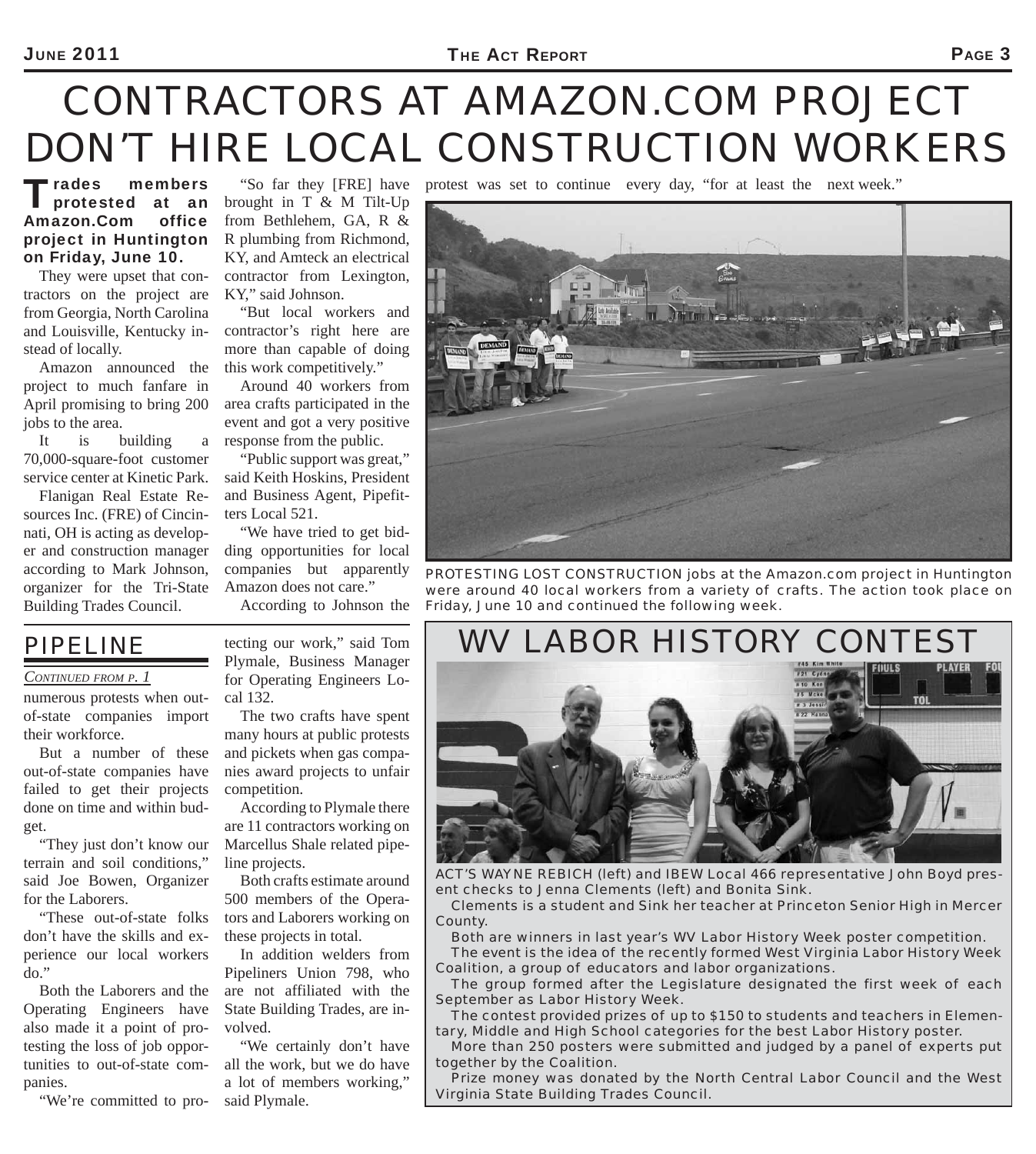# *CONTRACTORS AT AMAZON.COM PROJECT DON'T HIRE LOCAL CONSTRUCTION WORKERS*

"So far they [FRE] have protest was set to continue every day, "for at least the next week."

Trades members<br>
protested at an Amazon.Com office project in Huntington on Friday, June 10.

They were upset that contractors on the project are from Georgia, North Carolina and Louisville, Kentucky instead of locally.

Amazon announced the project to much fanfare in April promising to bring 200 jobs to the area.

It is building a 70,000-square-foot customer service center at Kinetic Park.

Flanigan Real Estate Resources Inc. (FRE) of Cincinnati, OH is acting as developer and construction manager according to Mark Johnson, organizer for the Tri-State Building Trades Council.

brought in T & M Tilt-Up from Bethlehem, GA, R & R plumbing from Richmond, KY, and Amteck an electrical contractor from Lexington, KY," said Johnson.

"But local workers and contractor's right here are more than capable of doing this work competitively."

Around 40 workers from area crafts participated in the event and got a very positive response from the public.

"Public support was great," said Keith Hoskins, President and Business Agent, Pipefitters Local 521.

"We have tried to get bidding opportunities for local companies but apparently Amazon does not care."

According to Johnson the



*PROTESTING LOST CONSTRUCTION jobs at the Amazon.com project in Huntington were around 40 local workers from a variety of crafts. The action took place on Friday, June 10 and continued the following week.*



*ACT'S WAYNE REBICH (left) and IBEW Local 466 representative John Boyd present checks to Jenna Clements (left) and Bonita Sink.*

*Clements is a student and Sink her teacher at Princeton Senior High in Mercer County.*

*Both are winners in last year's WV Labor History Week poster competition. The event is the idea of the recently formed West Virginia Labor History Week Coalition, a group of educators and labor organizations.*

*The group formed after the Legislature designated the first week of each September as Labor History Week.*

*The contest provided prizes of up to \$150 to students and teachers in Elementary, Middle and High School categories for the best Labor History poster.*

*More than 250 posters were submitted and judged by a panel of experts put together by the Coalition.*

*Prize money was donated by the North Central Labor Council and the West Virginia State Building Trades Council.*

### *PIPELINE*

#### *CONTINUED FROM P. 1*

numerous protests when outof-state companies import their workforce.

But a number of these out-of-state companies have failed to get their projects done on time and within budget.

"They just don't know our terrain and soil conditions," said Joe Bowen, Organizer for the Laborers.

"These out-of-state folks don't have the skills and experience our local workers  $do.$ "

Both the Laborers and the Operating Engineers have also made it a point of protesting the loss of job opportunities to out-of-state companies.

"We're committed to pro-

tecting our work," said Tom Plymale, Business Manager for Operating Engineers Local 132.

The two crafts have spent many hours at public protests and pickets when gas companies award projects to unfair competition.

According to Plymale there are 11 contractors working on Marcellus Shale related pipeline projects.

Both crafts estimate around 500 members of the Operators and Laborers working on these projects in total.

In addition welders from Pipeliners Union 798, who are not affiliated with the State Building Trades, are involved.

"We certainly don't have all the work, but we do have a lot of members working," said Plymale.